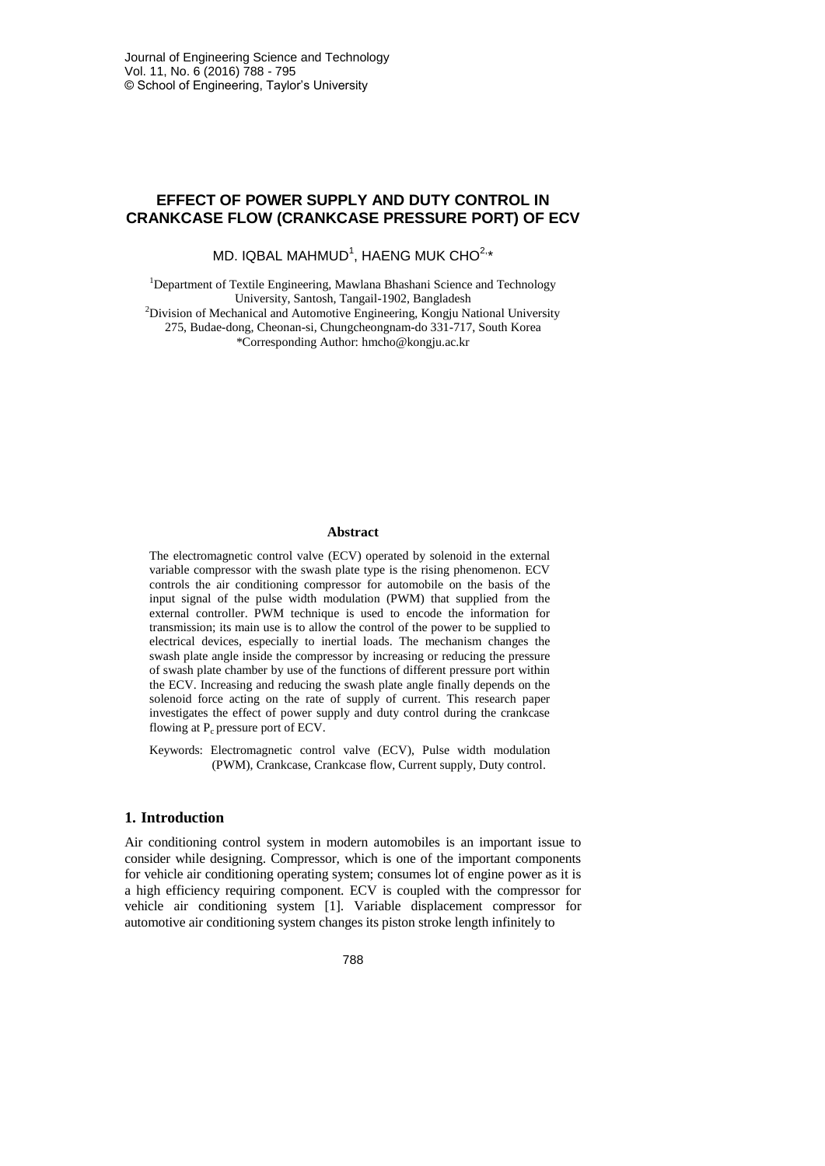# **EFFECT OF POWER SUPPLY AND DUTY CONTROL IN CRANKCASE FLOW (CRANKCASE PRESSURE PORT) OF ECV**

MD. IQBAL MAHMUD $^1$ , HAENG MUK CHO $^{2,*}$ 

<sup>1</sup>Department of Textile Engineering, Mawlana Bhashani Science and Technology University, Santosh, Tangail-1902, Bangladesh <sup>2</sup>Division of Mechanical and Automotive Engineering, Kongju National University 275, Budae-dong, Cheonan-si, Chungcheongnam-do 331-717, South Korea \*Corresponding Author: hmcho@kongju.ac.kr

#### **Abstract**

The electromagnetic control valve (ECV) operated by solenoid in the external variable compressor with the swash plate type is the rising phenomenon. ECV controls the air conditioning compressor for automobile on the basis of the input signal of the pulse width modulation (PWM) that supplied from the external controller. PWM technique is used to encode the information for transmission; its main use is to allow the control of the power to be supplied to electrical devices, especially to inertial loads. The mechanism changes the swash plate angle inside the compressor by increasing or reducing the pressure of swash plate chamber by use of the functions of different pressure port within the ECV. Increasing and reducing the swash plate angle finally depends on the solenoid force acting on the rate of supply of current. This research paper investigates the effect of power supply and duty control during the crankcase flowing at  $P_c$  pressure port of ECV.

Keywords: Electromagnetic control valve (ECV), Pulse width modulation (PWM), Crankcase, Crankcase flow, Current supply, Duty control.

## **1. Introduction**

Air conditioning control system in modern automobiles is an important issue to consider while designing. Compressor, which is one of the important components for vehicle air conditioning operating system; consumes lot of engine power as it is a high efficiency requiring component. ECV is coupled with the compressor for vehicle air conditioning system [1]. Variable displacement compressor for automotive air conditioning system changes its piston stroke length infinitely to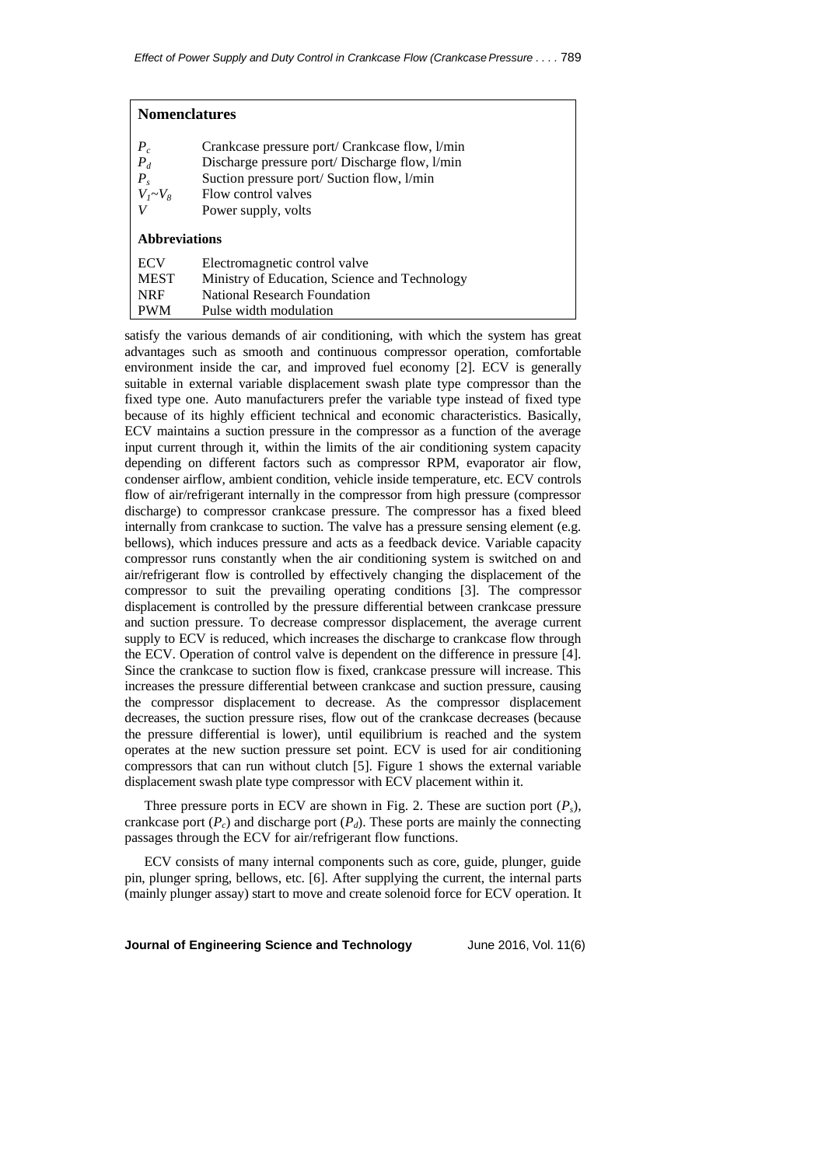| <b>Nomenclatures</b>                                  |                                                                                                                                                                                            |
|-------------------------------------------------------|--------------------------------------------------------------------------------------------------------------------------------------------------------------------------------------------|
| $\frac{P_c}{P_d}$<br>$P_s^{\prime}$<br>$V_I \sim V_8$ | Crankcase pressure port/ Crankcase flow, 1/min<br>Discharge pressure port/Discharge flow, 1/min<br>Suction pressure port/Suction flow, l/min<br>Flow control valves<br>Power supply, volts |
| <b>Abbreviations</b>                                  |                                                                                                                                                                                            |
| <b>ECV</b>                                            | Electromagnetic control valve                                                                                                                                                              |
| <b>MEST</b>                                           | Ministry of Education, Science and Technology                                                                                                                                              |
| <b>NRF</b>                                            | National Research Foundation                                                                                                                                                               |
| <b>PWM</b>                                            | Pulse width modulation                                                                                                                                                                     |

satisfy the various demands of air conditioning, with which the system has great advantages such as smooth and continuous compressor operation, comfortable environment inside the car, and improved fuel economy [2]. ECV is generally suitable in external variable displacement swash plate type compressor than the fixed type one. Auto manufacturers prefer the variable type instead of fixed type because of its highly efficient technical and economic characteristics. Basically, ECV maintains a suction pressure in the compressor as a function of the average input current through it, within the limits of the air conditioning system capacity depending on different factors such as compressor RPM, evaporator air flow, condenser airflow, ambient condition, vehicle inside temperature, etc. ECV controls flow of air/refrigerant internally in the compressor from high pressure (compressor discharge) to compressor crankcase pressure. The compressor has a fixed bleed internally from crankcase to suction. The valve has a pressure sensing element (e.g. bellows), which induces pressure and acts as a feedback device. Variable capacity compressor runs constantly when the air conditioning system is switched on and air/refrigerant flow is controlled by effectively changing the displacement of the compressor to suit the prevailing operating conditions [3]. The compressor displacement is controlled by the pressure differential between crankcase pressure and suction pressure. To decrease compressor displacement, the average current supply to ECV is reduced, which increases the discharge to crankcase flow through the ECV. Operation of control valve is dependent on the difference in pressure [4]. Since the crankcase to suction flow is fixed, crankcase pressure will increase. This increases the pressure differential between crankcase and suction pressure, causing the compressor displacement to decrease. As the compressor displacement decreases, the suction pressure rises, flow out of the crankcase decreases (because the pressure differential is lower), until equilibrium is reached and the system operates at the new suction pressure set point. ECV is used for air conditioning compressors that can run without clutch [5]. Figure 1 shows the external variable displacement swash plate type compressor with ECV placement within it.

Three pressure ports in ECV are shown in Fig. 2. These are suction port (*Ps*), crankcase port  $(P_c)$  and discharge port  $(P_d)$ . These ports are mainly the connecting passages through the ECV for air/refrigerant flow functions.

ECV consists of many internal components such as core, guide, plunger, guide pin, plunger spring, bellows, etc. [6]. After supplying the current, the internal parts (mainly plunger assay) start to move and create solenoid force for ECV operation. It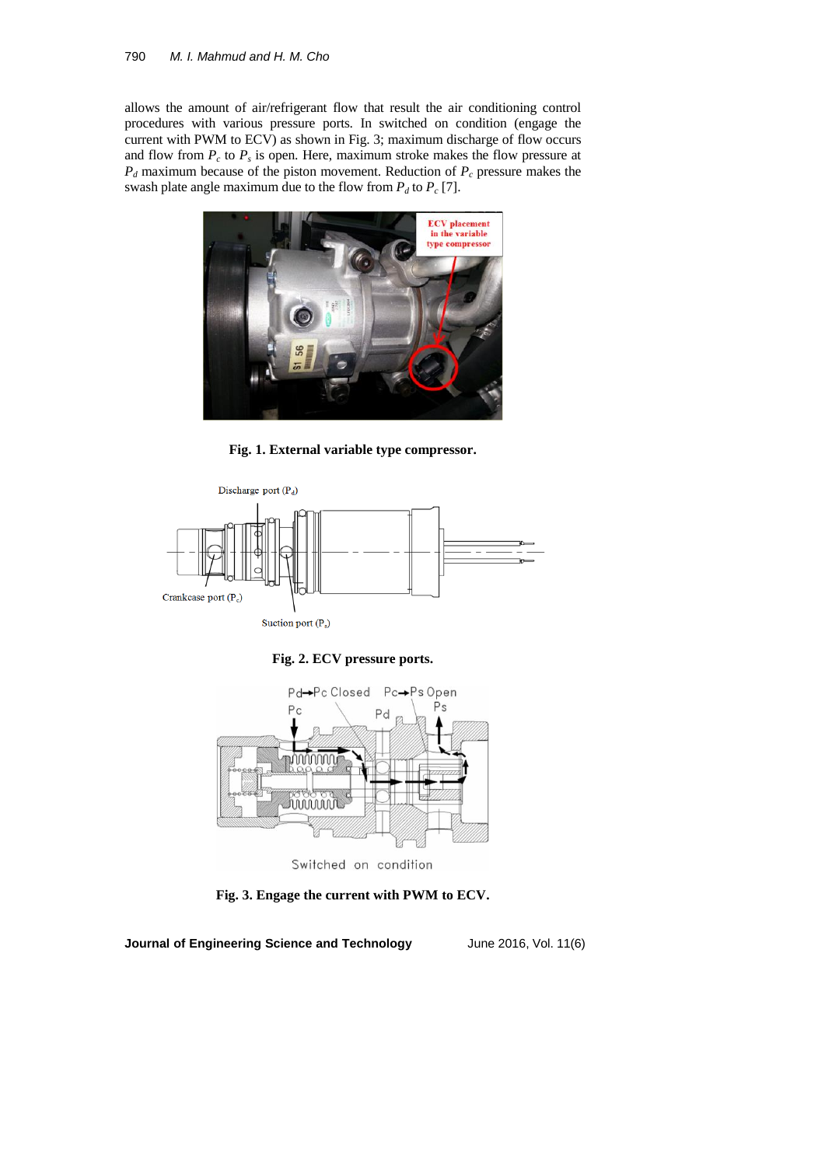## 790 *M. I. Mahmud and H. M. Cho*

allows the amount of air/refrigerant flow that result the air conditioning control procedures with various pressure ports. In switched on condition (engage the current with PWM to ECV) as shown in Fig. 3; maximum discharge of flow occurs and flow from  $P_c$  to  $P_s$  is open. Here, maximum stroke makes the flow pressure at *P<sup>d</sup>* maximum because of the piston movement. Reduction of *P<sup>c</sup>* pressure makes the swash plate angle maximum due to the flow from  $P_d$  to  $P_c$  [7].



**Fig. 1. External variable type compressor.**







**Fig. 3. Engage the current with PWM to ECV.**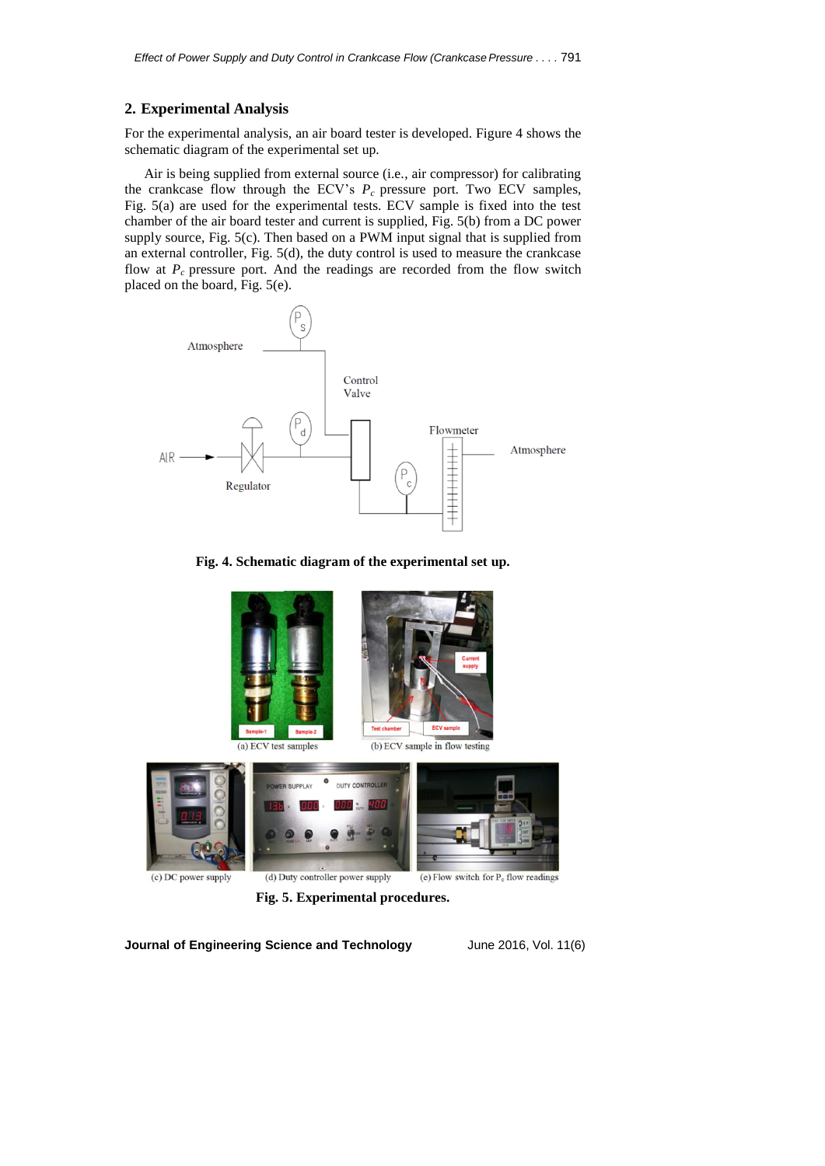#### **2. Experimental Analysis**

For the experimental analysis, an air board tester is developed. Figure 4 shows the schematic diagram of the experimental set up.

Air is being supplied from external source (i.e., air compressor) for calibrating the crankcase flow through the ECV's  $P_c$  pressure port. Two ECV samples, Fig. 5(a) are used for the experimental tests. ECV sample is fixed into the test chamber of the air board tester and current is supplied, Fig. 5(b) from a DC power supply source, Fig. 5(c). Then based on a PWM input signal that is supplied from an external controller, Fig. 5(d), the duty control is used to measure the crankcase flow at  $P_c$  pressure port. And the readings are recorded from the flow switch placed on the board, Fig. 5(e).



**Fig. 4. Schematic diagram of the experimental set up.**



**Fig. 5. Experimental procedures.**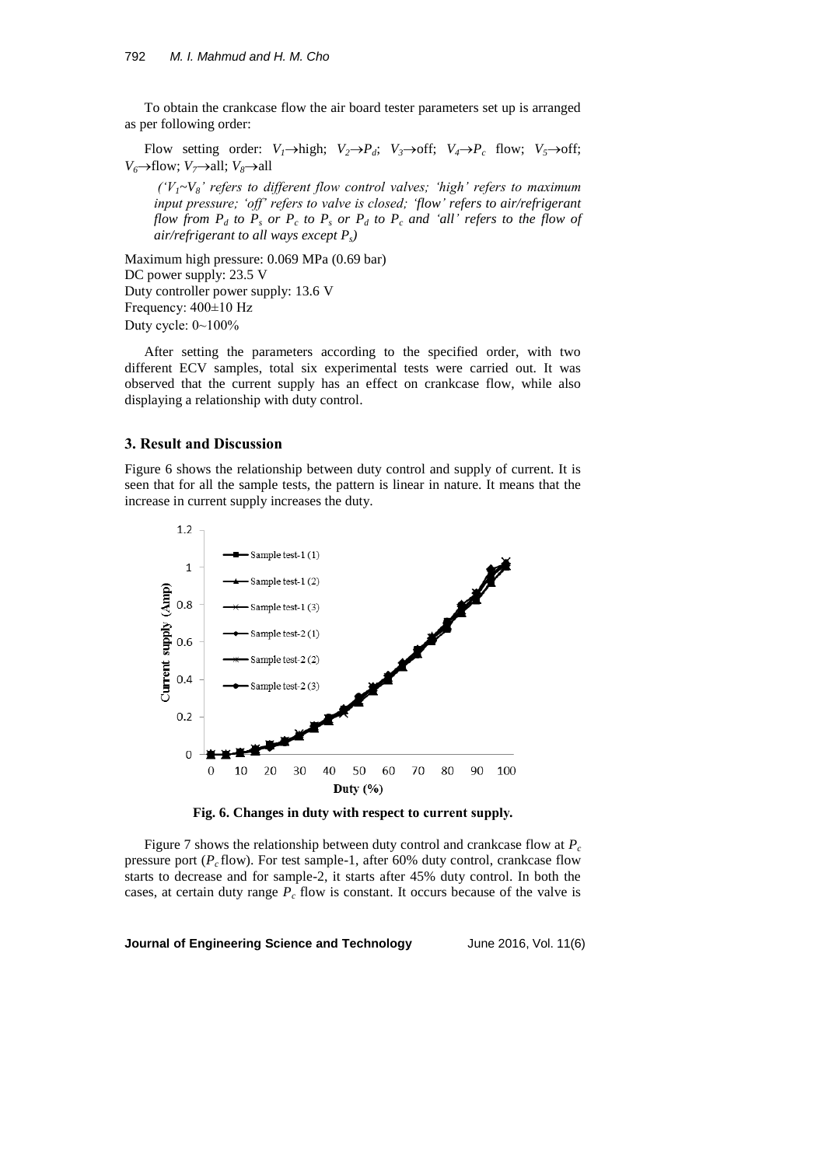To obtain the crankcase flow the air board tester parameters set up is arranged as per following order:

Flow setting order:  $V_1 \rightarrow$ high;  $V_2 \rightarrow P_d$ ;  $V_3 \rightarrow$ off;  $V_4 \rightarrow P_c$  flow;  $V_5 \rightarrow$ off; *V*<sup>6</sup> $\rightarrow$ flow; *V*<sub>7</sub> $\rightarrow$ all; *V*<sub>8</sub> $\rightarrow$ all

*('V1~V8' refers to different flow control valves; 'high' refers to maximum input pressure; 'off' refers to valve is closed; 'flow' refers to air/refrigerant flow from P<sup>d</sup> to P<sup>s</sup> or P<sup>c</sup> to P<sup>s</sup> or P<sup>d</sup> to P<sup>c</sup> and 'all' refers to the flow of air/refrigerant to all ways except Ps)*

Maximum high pressure: 0.069 MPa (0.69 bar) DC power supply: 23.5 V Duty controller power supply: 13.6 V Frequency: 400±10 Hz Duty cycle: 0~100%

After setting the parameters according to the specified order, with two different ECV samples, total six experimental tests were carried out. It was observed that the current supply has an effect on crankcase flow, while also displaying a relationship with duty control.

#### **3. Result and Discussion**

Figure 6 shows the relationship between duty control and supply of current. It is seen that for all the sample tests, the pattern is linear in nature. It means that the increase in current supply increases the duty.



**Fig. 6. Changes in duty with respect to current supply.**

Figure 7 shows the relationship between duty control and crankcase flow at *P<sup>c</sup>* pressure port (*P<sup>c</sup>* flow). For test sample-1, after 60% duty control, crankcase flow starts to decrease and for sample-2, it starts after 45% duty control. In both the cases, at certain duty range *P<sup>c</sup>* flow is constant. It occurs because of the valve is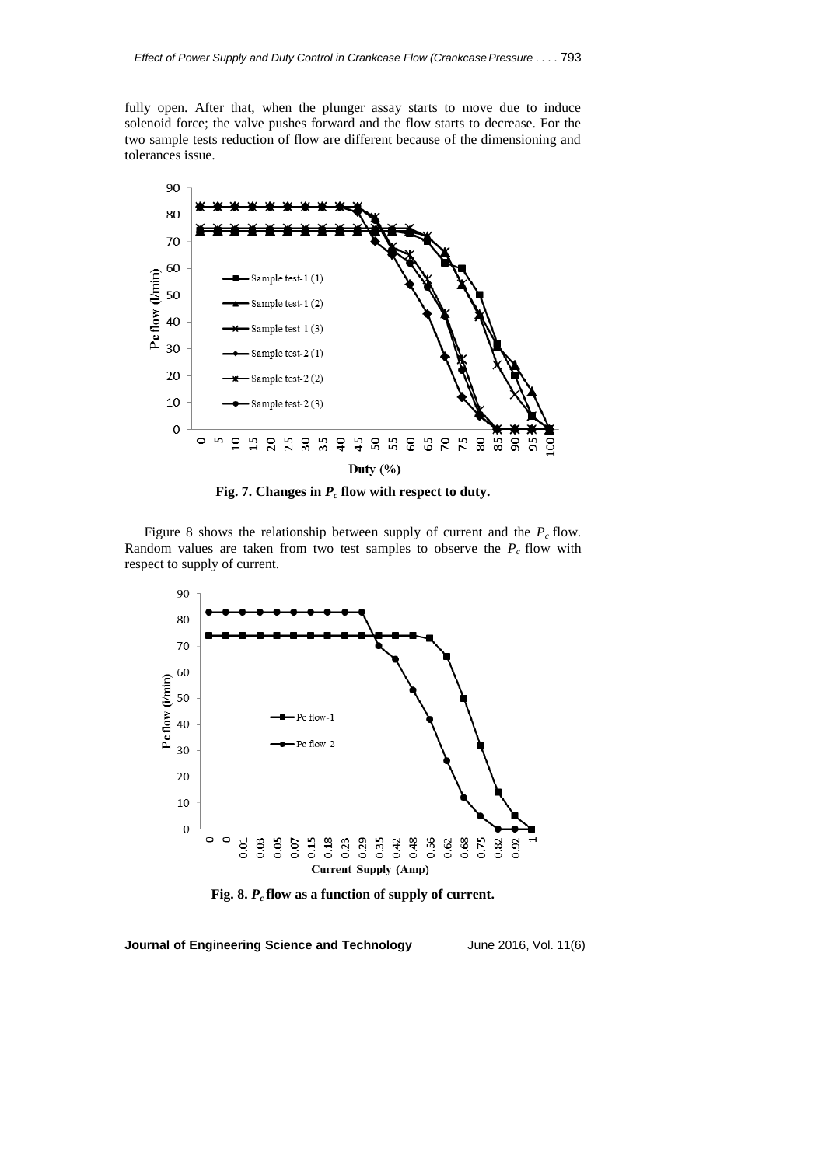fully open. After that, when the plunger assay starts to move due to induce solenoid force; the valve pushes forward and the flow starts to decrease. For the two sample tests reduction of flow are different because of the dimensioning and tolerances issue.



**Fig. 7. Changes in** *P<sup>c</sup>* **flow with respect to duty.**

Figure 8 shows the relationship between supply of current and the  $P_c$  flow. Random values are taken from two test samples to observe the  $P_c$  flow with respect to supply of current.



**Fig. 8.** *P<sup>c</sup>* **flow as a function of supply of current.**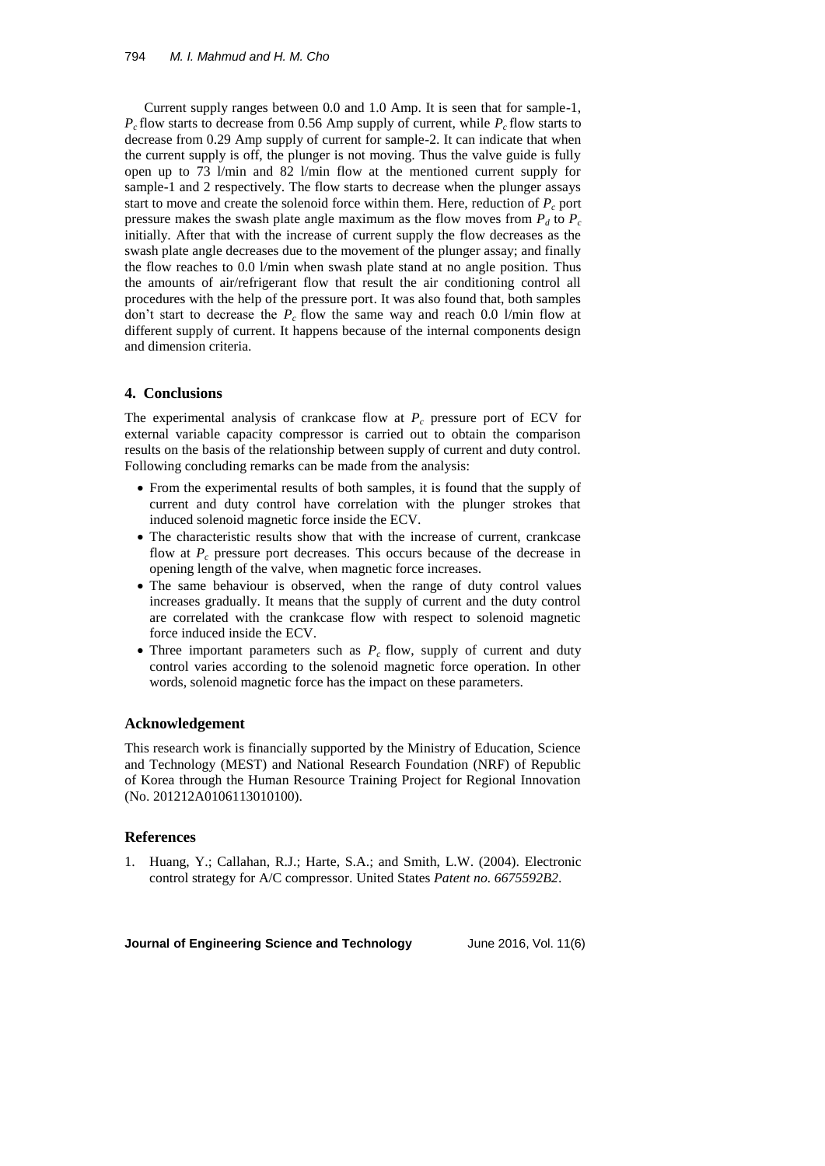Current supply ranges between 0.0 and 1.0 Amp. It is seen that for sample-1,  $P_c$  flow starts to decrease from 0.56 Amp supply of current, while  $P_c$  flow starts to decrease from 0.29 Amp supply of current for sample-2. It can indicate that when the current supply is off, the plunger is not moving. Thus the valve guide is fully open up to 73 l/min and 82 l/min flow at the mentioned current supply for sample-1 and 2 respectively. The flow starts to decrease when the plunger assays start to move and create the solenoid force within them. Here, reduction of  $P_c$  port pressure makes the swash plate angle maximum as the flow moves from  $P_d$  to  $P_c$ initially. After that with the increase of current supply the flow decreases as the swash plate angle decreases due to the movement of the plunger assay; and finally the flow reaches to 0.0 l/min when swash plate stand at no angle position. Thus the amounts of air/refrigerant flow that result the air conditioning control all procedures with the help of the pressure port. It was also found that, both samples don't start to decrease the *P<sup>c</sup>* flow the same way and reach 0.0 l/min flow at different supply of current. It happens because of the internal components design and dimension criteria.

### **4. Conclusions**

The experimental analysis of crankcase flow at  $P_c$  pressure port of ECV for external variable capacity compressor is carried out to obtain the comparison results on the basis of the relationship between supply of current and duty control. Following concluding remarks can be made from the analysis:

- From the experimental results of both samples, it is found that the supply of current and duty control have correlation with the plunger strokes that induced solenoid magnetic force inside the ECV.
- The characteristic results show that with the increase of current, crankcase flow at *P<sup>c</sup>* pressure port decreases. This occurs because of the decrease in opening length of the valve, when magnetic force increases.
- The same behaviour is observed, when the range of duty control values increases gradually. It means that the supply of current and the duty control are correlated with the crankcase flow with respect to solenoid magnetic force induced inside the ECV.
- Three important parameters such as  $P_c$  flow, supply of current and duty control varies according to the solenoid magnetic force operation. In other words, solenoid magnetic force has the impact on these parameters.

#### **Acknowledgement**

This research work is financially supported by the Ministry of Education, Science and Technology (MEST) and National Research Foundation (NRF) of Republic of Korea through the Human Resource Training Project for Regional Innovation (No. 201212A0106113010100).

#### **References**

1. Huang, Y.; Callahan, R.J.; Harte, S.A.; and Smith, L.W. (2004). Electronic control strategy for A/C compressor. United States *Patent no. 6675592B2*.